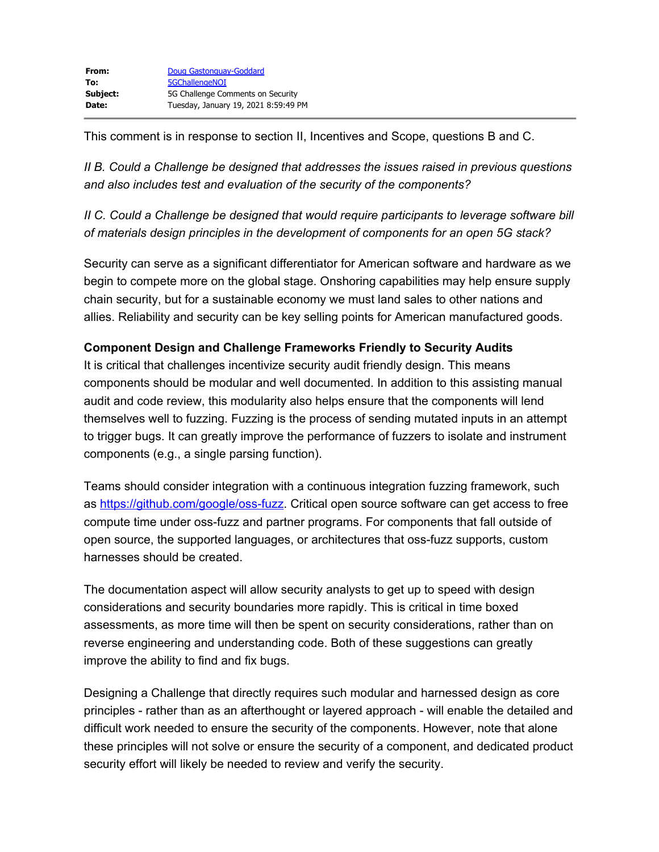This comment is in response to section II, Incentives and Scope, questions B and C.

*II B. Could a Challenge be designed that addresses the issues raised in previous questions and also includes test and evaluation of the security of the components?*

*II C. Could a Challenge be designed that would require participants to leverage software bill of materials design principles in the development of components for an open 5G stack?*

Security can serve as a significant differentiator for American software and hardware as we begin to compete more on the global stage. Onshoring capabilities may help ensure supply chain security, but for a sustainable economy we must land sales to other nations and allies. Reliability and security can be key selling points for American manufactured goods.

## **Component Design and Challenge Frameworks Friendly to Security Audits**

It is critical that challenges incentivize security audit friendly design. This means components should be modular and well documented. In addition to this assisting manual audit and code review, this modularity also helps ensure that the components will lend themselves well to fuzzing. Fuzzing is the process of sending mutated inputs in an attempt to trigger bugs. It can greatly improve the performance of fuzzers to isolate and instrument components (e.g., a single parsing function).

Teams should consider integration with a continuous integration fuzzing framework, such as [https://github.com/google/oss-fuzz](https://gcc02.safelinks.protection.outlook.com/?url=https%3A%2F%2Fgithub.com%2Fgoogle%2Foss-fuzz&data=04%7C01%7C5GChallengeNOI%40ntia.gov%7C3e4ac4fa08584136ac1208d8bcf7d2de%7Cd6cff1bd67dd4ce8945dd07dc775672f%7C0%7C0%7C637467119893717332%7CUnknown%7CTWFpbGZsb3d8eyJWIjoiMC4wLjAwMDAiLCJQIjoiV2luMzIiLCJBTiI6Ik1haWwiLCJXVCI6Mn0%3D%7C3000&sdata=grWk56mDewDPcq%2FG24Q%2FaNBLJC21oR8HL5ybexwnM8Q%3D&reserved=0). Critical open source software can get access to free compute time under oss-fuzz and partner programs. For components that fall outside of open source, the supported languages, or architectures that oss-fuzz supports, custom harnesses should be created.

The documentation aspect will allow security analysts to get up to speed with design considerations and security boundaries more rapidly. This is critical in time boxed assessments, as more time will then be spent on security considerations, rather than on reverse engineering and understanding code. Both of these suggestions can greatly improve the ability to find and fix bugs.

Designing a Challenge that directly requires such modular and harnessed design as core principles - rather than as an afterthought or layered approach - will enable the detailed and difficult work needed to ensure the security of the components. However, note that alone these principles will not solve or ensure the security of a component, and dedicated product security effort will likely be needed to review and verify the security.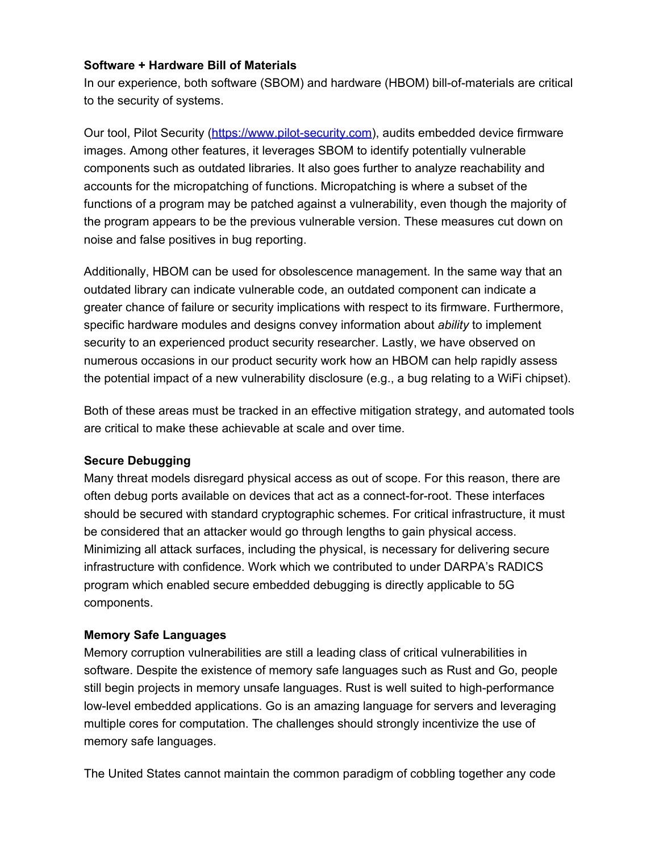## **Software + Hardware Bill of Materials**

In our experience, both software (SBOM) and hardware (HBOM) bill-of-materials are critical to the security of systems.

Our tool, Pilot Security ([https://www.pilot-security.com\)](https://gcc02.safelinks.protection.outlook.com/?url=https%3A%2F%2Fwww.pilot-security.com%2F&data=04%7C01%7C5GChallengeNOI%40ntia.gov%7C3e4ac4fa08584136ac1208d8bcf7d2de%7Cd6cff1bd67dd4ce8945dd07dc775672f%7C0%7C0%7C637467119893727288%7CUnknown%7CTWFpbGZsb3d8eyJWIjoiMC4wLjAwMDAiLCJQIjoiV2luMzIiLCJBTiI6Ik1haWwiLCJXVCI6Mn0%3D%7C3000&sdata=RUzUNtAtcIIu2rIpnrAp%2BSr7OdIs%2Fj6nZ%2FutxTHZq%2Bk%3D&reserved=0), audits embedded device firmware images. Among other features, it leverages SBOM to identify potentially vulnerable components such as outdated libraries. It also goes further to analyze reachability and accounts for the micropatching of functions. Micropatching is where a subset of the functions of a program may be patched against a vulnerability, even though the majority of the program appears to be the previous vulnerable version. These measures cut down on noise and false positives in bug reporting.

Additionally, HBOM can be used for obsolescence management. In the same way that an outdated library can indicate vulnerable code, an outdated component can indicate a greater chance of failure or security implications with respect to its firmware. Furthermore, specific hardware modules and designs convey information about *ability* to implement security to an experienced product security researcher. Lastly, we have observed on numerous occasions in our product security work how an HBOM can help rapidly assess the potential impact of a new vulnerability disclosure (e.g., a bug relating to a WiFi chipset).

Both of these areas must be tracked in an effective mitigation strategy, and automated tools are critical to make these achievable at scale and over time.

## **Secure Debugging**

Many threat models disregard physical access as out of scope. For this reason, there are often debug ports available on devices that act as a connect-for-root. These interfaces should be secured with standard cryptographic schemes. For critical infrastructure, it must be considered that an attacker would go through lengths to gain physical access. Minimizing all attack surfaces, including the physical, is necessary for delivering secure infrastructure with confidence. Work which we contributed to under DARPA's RADICS program which enabled secure embedded debugging is directly applicable to 5G components.

## **Memory Safe Languages**

Memory corruption vulnerabilities are still a leading class of critical vulnerabilities in software. Despite the existence of memory safe languages such as Rust and Go, people still begin projects in memory unsafe languages. Rust is well suited to high-performance low-level embedded applications. Go is an amazing language for servers and leveraging multiple cores for computation. The challenges should strongly incentivize the use of memory safe languages.

The United States cannot maintain the common paradigm of cobbling together any code